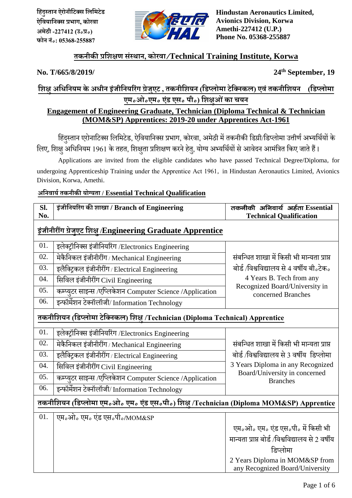

**Hindustan Aeronautics Limited, Avionics Division, Korwa Amethi-227412 (U.P.) Phone No. 05368-255887**

# **तकनीकी प्रहिक्षण सिंस्थान, कोरिा/Technical Training Institute, Korwa**

No. T/665/8/2019/

**th September, 19**

# **हिक्षुअहिहनयि केअिीन इजिं ीहनयररिंग ग्रेजुएि , तकनीहियन (हडप्िोिा िेहक्नकि) एििंतकनीहियन (हडप्िोिा एि॰ओ॰एि॰ एडिं एस॰ पी॰) हिक्षुओिंका चयन**

# **Engagement of Engineering Graduate, Technician (Diploma Technical & Technician (MOM&SP) Apprentices: 2019-20 under Apprentices Act-1961**

हिंदुस्तान एरोनाटिक्स लिमिटेड, ऐवियानिक्स प्रभाग, कोरवा, अमेठी में तकनीकी डिग्री/डिप्लोमा उत्तीर्ण अभ्यर्थियों के <u>लिए, शिक्षु</u> अधिनियम 1961 के तहत, शिक्षुता प्रशिक्षण करने हेतु, योग्य अभ्यर्थियों से आवेदन आमंत्रित किए जाते हैं।

Applications are invited from the eligible candidates who have passed Technical Degree/Diploma**,** for undergoing Apprenticeship Training under the Apprentice Act 1961**,** in Hindustan Aeronautics Limited, Avionics Division, Korwa, Amethi.

#### **अहनिायय तकनीकी योग्यता / Essential Technical Qualification**

| Sl.<br>No.                                                                              | इंजीनियरिंग की शाखा / Branch of Engineering               | तकनीकी अनिवार्य अर्हता Essential<br><b>Technical Qualification</b>                                                                                                        |  |
|-----------------------------------------------------------------------------------------|-----------------------------------------------------------|---------------------------------------------------------------------------------------------------------------------------------------------------------------------------|--|
| इंजीनीरींग ग्रेजुएट शिक्ष /Engineering Graduate Apprentice                              |                                                           |                                                                                                                                                                           |  |
| 01.                                                                                     | इलेक्ट्रॉनिक्स इंजीनियरिंग /Electronics Engineering       |                                                                                                                                                                           |  |
| 02.                                                                                     | मेकैनिकल इंजीनीरींग / Mechanical Engineering              | संबन्धित शाखा में किसी भी मान्यता प्राप्त<br>बोर्ड /विश्वविद्यालय से 4 वर्षीय बी.टेक.<br>4 Years B. Tech from any<br>Recognized Board/University in<br>concerned Branches |  |
| 03.                                                                                     | इलैक्ट्किल इंजीनीरींग/Electrical Engineering              |                                                                                                                                                                           |  |
| 04.                                                                                     | सिविल इंजीनीरींग Civil Engineering                        |                                                                                                                                                                           |  |
| 05.                                                                                     | कम्प्युटर साइन्स /एप्लिकेशन Computer Science /Application |                                                                                                                                                                           |  |
| 06.                                                                                     | इन्फॉर्मेशन टेक्नॉलॉजी/Information Technology             |                                                                                                                                                                           |  |
| तकनीशियन (डिप्लोमा टेक्निकल) शिक्ष् /Technician (Diploma Technical) Apprentice          |                                                           |                                                                                                                                                                           |  |
| 01.                                                                                     | इलेक्ट्रॉनिक्स इंजीनियरिंग /Electronics Engineering       |                                                                                                                                                                           |  |
| 02.                                                                                     | मेकैनिकल इंजीनीरींग / Mechanical Engineering              | संबन्धित शाखा में किसी भी मान्यता प्राप्त                                                                                                                                 |  |
| 03.                                                                                     | इलैक्ट्रिकल इंजीनीरींग / Electrical Engineering           | बोर्ड/विश्वविद्यालय से 3 वर्षीय डिप्लोमा                                                                                                                                  |  |
| 04.                                                                                     | सिविल इंजीनीरींग Civil Engineering                        | 3 Years Diploma in any Recognized                                                                                                                                         |  |
| 05.                                                                                     | कम्प्युटर साइन्स /एप्लिकेशन Computer Science /Application | Board/University in concerned<br><b>Branches</b>                                                                                                                          |  |
| 06.                                                                                     | इन्फॉर्मेशन टेक्नॉलॉजी/Information Technology             |                                                                                                                                                                           |  |
| तकनीशियन (डिप्लोमा एम.औ. एम. एंड एस.पी.) शिक्षु /Technician (Diploma MOM&SP) Apprentice |                                                           |                                                                                                                                                                           |  |
| 01.                                                                                     | एम.ओ. एम. एंड एस.पी./MOM&SP                               |                                                                                                                                                                           |  |
|                                                                                         |                                                           | एम॰ओ॰ एम॰ एंड एस॰पी॰ में किसी भी                                                                                                                                          |  |
|                                                                                         |                                                           | मान्यता प्राप्त बोर्ड /विश्वविद्यालय से 2 वर्षीय                                                                                                                          |  |
|                                                                                         |                                                           | डिप्लोमा                                                                                                                                                                  |  |
|                                                                                         |                                                           | 2 Years Diploma in MOM&SP from<br>any Recognized Board/University                                                                                                         |  |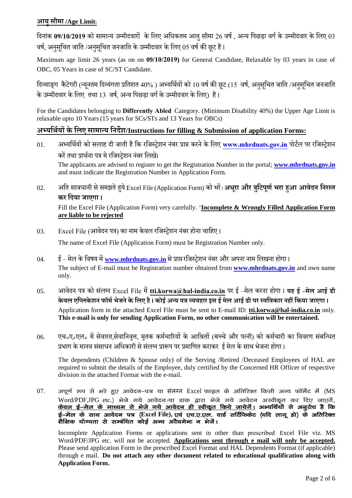#### **आयुसीिा /Age Limit:**

हदनािंक **09/10/2019** को सािाधय उम्पिीदिारों केहिए अहिकति आयुसीिा 26 िर्षण , अधय हपछड़ा िगण के उम्पिीदिार के हिए 03 वर्ष, अनुसूचित जाति /अनुसुचित जनजाति के उम्मीदवार के लिए 05 वर्ष की छूट है।

Maximum age limit 26 years (as on on **09/10/2019)** for General Candidate, Relaxable by 03 years in case of OBC, 05 Years in case of SC/ST Candidate.

हिव्याङ्ग कैटेगरी (न्यूनतम दिव्यंगता प्रतिशत 40% ) अभ्यर्थियों को 10 वर्ष की छूट (15 वर्ष, अनुसूचित जाति /अनुसूचित जनजाति के उम्मीदवार के लिए तथा 13 वर्ष, अन्य पिछड़ा वर्ग के उम्मीदवार के लिए) है।

For the Candidates belonging to **Differently Abled** Category. (Minimum Disability 40%) the Upper Age Limit is relaxable upto 10 Years(15 years for SCs/STs and 13 Years for OBCs)

#### **अभ्यहथययों के हिए सािान्य हनदेि/Instructions for filling & Submission of application Forms:**

- 01. अभ्यर्थियों को सलाह दी जाती है कि रजिस्ट्रेशन नंबर प्राप्त करने के लिए [www.mhrdnats.gov.in](http://www.mhrdnats.gov.in/) पोर्टल पर रजिस्ट्रेशन करें तथा प्रार्थना पत्र मे रजिस्टेशन नंबर लिखे। The applicants are advised to register to get the Registration Number in the portal; **[www.mhrdnats.gov.in](http://www.mhrdnats.gov.in/)** and must indicate the Registration Number in Application Form.
- 02. अहत साििानी सेसिझते ुयेExcel File (Application Form) को भरें। **अिरूा और त्रहुिपणू यभरा ुआ आिेदन हनरस्त कर हदया जाएगा ।**

Fill the Excel File (Application Form) very carefully. '**Incomplete & Wrongly Filled Application Form are liable to be rejected**

03. Excel File (आवेदन पत्र) का नाम केवल रजिस्ट्रेशन नंबर होना चाहिए ।

The name of Excel File (Application Form) must be Registration Number only.

- 04. ई मेल के विषय में [www.mhrdnats.gov.in](http://www.mhrdnats.gov.in/) से प्राप्त रजिस्ट्रेशन नंबर और अपना नाम लिखना होगा । The subject of E-mail must be Registration number obtained from **[www.mhrdnats.gov.in](http://www.mhrdnats.gov.in/)** and own name only.
- 05. आवेदन पत्र को संलग्न Excel File में [tti.korwa@hal-india.co.](mailto:tti.korwa@hal-india.com)in पर ई –मेल करना होगा । यह ई –मेल आई डी **के िि एहप्िके िन फॉिय भेजने के हिए ै । कोई अन्य पत्र ्यि ार इस ई िेि आई डी पर स्िहिकार न ीं हकया जाएगा ।** Application form in the attached Excel File must be sent to E-mail ID: **[tti.korwa@hal-india.co.](mailto:tti.korwa@hal-india.com)in** only. **This e-mail is only for sending Application Form, no other communication will be entertained.**
- 06. एच॰ए॰एल॰ में सेवारत,सेवानिवृत्त, मृतक कर्मचारियों के आश्रितों (बच्चे और पत्नी) को कर्मचारी का विवरण संबन्धित प्रभाग के मानव संसाधन अधिकारी से संलग्न प्रारूप पर प्रमाणित कराकर ई मेल के साथ भेजना होगा ।

The dependents (Children & Spouse only) of the Serving /Retired /Deceased Employees of HAL are required to submit the details of the Employee, duly certified by the Concerned HR Officer of respective division in the attached Format with the e-mail.

07. अपूर्ण रूप से भरे हुए आवेदन-पत्र या संलग्न Excel फाइल के अतिरिक्त किसी अन्य फॉर्मेट में (MS Word/PDF,JPG etc.) भेजे गये आवेदन/या डाक द्वारा भेजे गये आवेदन अस्वीकृत कर दिए जाएगें, <u>केवल ई-मेल के माध्यम से भेजे गये आवेदन ही स्वीकृत किये जायेगें।</u> अभ्यर्थियों से अनुरोध है कि ई–मेल के साथ आवेदन पत्र (Excel File), एवं एच.ए.एल. वार्ड सर्टिफिकेट (यदि लागू हो) के अतिरिक्त शैक्षिक योग्यता से सम्बंधित कोई अन्य अटैचमेन्ट न भेजें।

Incomplete Application Forms or applications sent in other than prescribed Excel File viz. MS Word/PDF/JPG etc. will not be accepted. **Applications sent through e mail will only be accepted.** Please send application Form in the prescribed Excel Format and HAL Dependents Format (if applicable) through e mail. **Do not attach any other document related to educational qualification along with Application Form.**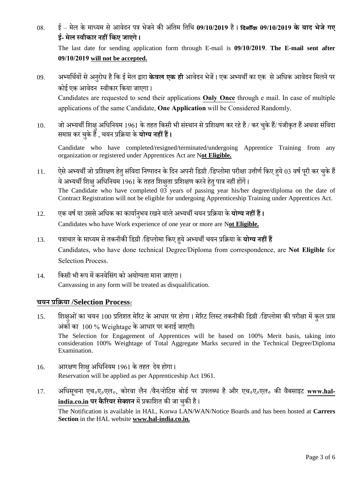- 08. ई िेि के िाध्यि से आिेदन पि भेजनेकी अहिंति हतहथ **09/10/2019** ै । fnuk Wad **09/10/2019 के बाद भेजे गए ई- िेि स्िीकार न ीं हकए जाएगे ।**  The last date for sending application form through E-mail is **09/10/2019**. **The E-mail sent after 09/10/2019 will not be accepted.**
- 09. अभ्यर्थियों से अनुरोध है कि ई मेल द्वारा **केवल एक ही** आवेदन भेजें। एक अभ्यर्थी का एक से अधिक आवेदन मिलने पर कोई एक आवेदन स्वीकार किया जाएगा।

Candidates are requested to send their applications **Only Once** through e mail. In case of multiple applications of the same Candidate, **One Application** will be Considered Randomly.

10. जो अभ्यर्थी शिक्षु अधिनियम 1961 के तहत किसी भी संस्थान से प्रशिक्षण कर रहे है / कर चुके हैं/ पंजीकृत हैं अथवा संविदा समाप्त कर चुके हैं , चयन प्रक्रिया के **योग्य नहीं हैं।** 

Candidate who have completed/resigned/terminated/undergoing Apprentice Training from any organization or registered under Apprentices Act are N**ot Eligible.**

- 11. ऐसे अभ्यर्थी जो प्रशिक्षण हेतु संविदा निष्पादन के दिन अपनी डिग्री /डिप्लोमा परीक्षा उत्तीर्ण किए हये 03 वर्ष पूरी कर चुके हैं वे अभ्यर्थी शिक्षु अधिनियम 1961 के तहत शिक्षुता प्रशिक्षण करने हेतु पात्र नहीं होंगें। The Candidate who have completed 03 years of passing year his/her degree/diploma on the date of Contract Registration will not be eligible for undergoing Apprenticeship Training under Apprentices Act.
- 12. एक वर्ष या उससे अधिक का कार्यानृभव रखने वाले अभ्यर्थी चयन प्रक्रिया के **योग्य नहीं हैं।** Candidates who have Work experience of one year or more are N**ot Eligible.**
- 13. पत्राचार के माध्यम से तकनीकी डिग्री /डिप्लोमा किए हये अभ्यर्थी चयन प्रक्रिया के **योग्य नहीं हैं** Candidates, who have done technical Degree/Diploma from correspondence, are **Not Eligible** for Selection Process.
- 14. किसी भी रूप में कनवेसिंग को अयोग्यता माना जाएगा। Canvassing in any form will be treated as disqualification.

#### **चयन प्रहिया /Selection Process:**

- 15. हिाक्षओं का चयन 100 प्रतिशत मेरिट के आधार पर होगा। मेरिट लिस्ट तकनीकी डिग्री /डिप्लोमा की परीक्षा में कुल प्राप्त अंकों का 100 % Weightage के आधार पर बनाई जाएगी। The Selection for Engagement of Apprentices will be based on 100% Merit basis, taking into consideration 100% Weightage of Total Aggregate Marks secured in the Technical Degree/Diploma Examination.
- 16. आरक्षण शिक्ष अधिनियम 1961 के तहत देय होगा। Reservation will be applied as per Apprenticeship Act 1961.
- 17. अधिसूचना एच॰ए॰एल॰, कोरवा लैन /वैन/नोटिस बोर्ड पर उपलब्ध है और एच॰ए॰एल॰ की वैबसाइट [www.hal](http://www.hal-india.com/)**[india.co.](http://www.hal-india.com/)in पर कैरियर सेक्शन** में प्रकाशित की जा चुकी है। The Notification is available in HAL, Korwa LAN/WAN/Notice Boards and has been hosted at **Carrers Section** in the HAL website **[www.hal-india.co.](http://www.hal-india.com/)in.**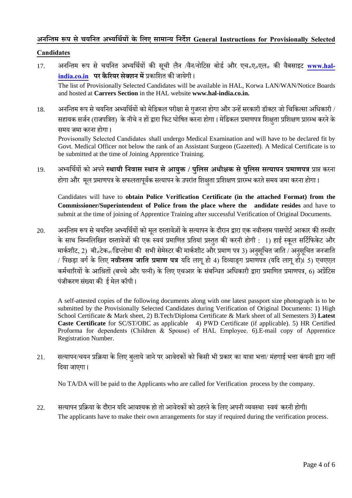### **अनहन्ति रूप से चयहनत अभ्यहथययों के हिए सािान्य हनदेि General Instructions for Provisionally Selected**

#### **Candidates**

- 17. अनन्तिम रूप से चयनित अभ्यर्थियों की सूची लैन /वैन/नोटिस बोर्ड और एच<sub>°</sub>ए<sub>°</sub>एल<sub>°</sub> की वैबसाइट [www.hal](http://www.hal-india.co.in/)**[india.co.in](http://www.hal-india.co.in/) पर कै ररयर सेक्िन िें**प्रकाहित की जायेगी । The list of Provisionally Selected Candidates will be available in HAL, Korwa LAN/WAN/Notice Boards and hosted at **Carrers Section** in the HAL website **www.hal-india.co.in.**
- 18. अनन्तिम रूप से चयनित अभ्यर्थियों को मेडिकल परीक्षा से गुजरना होगा और उन्हें सरकारी डॉक्टर जो चिकित्सा अधिकारी / सहायक सर्जन (राजपत्रित) के नीचे न हों द्वारा फिट घोषित करना होगा। मेडिकल प्रमाणपत्र शिक्षता प्रशिक्षण प्रारम्भ करने के समय जमा करना होगा।

Provisonally Selected Candidates shall undergo Medical Examination and will have to be declared fit by Govt. Medical Officer not below the rank of an Assistant Surgeon (Gazetted). A Medical Certificate is to be submitted at the time of Joining Apprentice Training.

19. अभ्यहथणयों को अपने **स्थायी हनिास स्थान सेआयुक्त / पहुिस अिीक्षक सेपुहिस सत्यापन प्रिाणपत्र** प्राप्त करना होगा और मूल प्रमाणपत्र के सफलतापूर्वक सत्यापन के उपरांत शिक्षुता प्रशिक्षण प्रारम्भ करते समय जमा करना होगा ।

Candidates will have to **obtain Police Verification Certificate (in the attached Format) from the Commissioner/Superintendent of Police from the place where the andidate resides** and have to submit at the time of joining of Apprentice Training after successful Verification of Original Documents.

20. अनन्तिम रूप से चयनित अभ्यर्थियों को मूल दस्तावेज़ों के सत्यापन के दौरान द्वारा एक नवीनतम पासपोर्ट आकार की तस्वीर के साथ निम्नलिखित दस्तावेजों की एक स्वयं प्रमाणित प्रतियां प्रस्तुत की करनी होगी : 1) हाई स्कूल सर्टिफिकेट और मार्कशीट, 2) बी॰टेक॰/डिप्लोमा की सभी सेमेस्टर की मार्कशीट और प्रमाण पत्र 3) अनुसूचित जाति / अनुसूचित जनजाति / पिछड़ा वर्ग के लिए **नवीनतम जाति प्रमाण पत्र** यदि लागू हो 4) दिव्याङ्ग प्रमाणपत्र (यदि लागू हो)। 5) एचएएल कर्मचारियों के आश्रितों (बच्चे और पत्नी) के लिए एचआर के संबन्धित अधिकारी द्वारा प्रमाणित प्रमाणपत्र, 6) अप्रेंटिस पंजीकरण संख्या की ई मेल कॉपी ।

A self-attested copies of the following documents along with one latest passport size photograph is to be submitted by the Provisionally Selected Candidates during Verification of Original Documents: 1) High School Certificate & Mark sheet, 2) B.Tech/Diploma Certificate & Mark sheet of all Semesters 3) **Latest Caste Certificate** for SC/ST/OBC as applicable 4) PWD Certificate (if applicable). 5) HR Certified Proforma for dependents (Children & Spouse) of HAL Employee. 6).E-mail copy of Apprentice Registration Number.

21. सत्यापन/चयन प्रक्रिया के लिए बुलाये जाने पर आवेदकों को किसी भी प्रकार का यात्रा भत्ता/ मंहगाई भत्ता कंपनी द्वारा नहीं हदया जाएगा ।

No TA/DA will be paid to the Applicants who are called for Verification process by the company.

22. सत्यापन प्रक्रिया के दौरान यदि आवश्यक हो तो आवेदकों को ठहरने के लिए अपनी व्यवस्था स्वयं करनी होगी। The applicants have to make their own arrangements for stay if required during the verification process.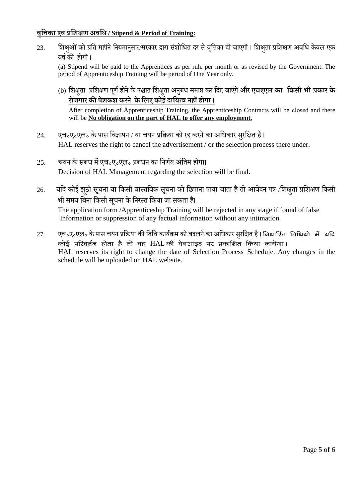## **िृहिका एििंप्रहिक्षण अिहि / Stipend & Period of Training:**

23. हिाक्षओं को प्रति महीने नियमानुसार/सरकार द्वारा संशोधित दर से वृत्तिका दी जाएगी। शिक्षता प्रशिक्षण अवधि केवल एक वर्ष की होगी।

(a) Stipend will be paid to the Apprentices as per rule per month or as revised by the Government. The period of Apprenticeship Training will be period of One Year only.

(b) हिक्षतुा प्रहिक्षर् पर्ूण ोनेकेपश्चात हिक्षतुा अनबुिंि सिाप्त कर हदए जाएिंगेऔर **एचएएि का हकसी भी प्रकार के रोजगार की पेिकि करने के हिए कोई दाहयत्ि न ीं ोगा ।**

After completion of Apprenticeship Training, the Apprenticeship Contracts will be closed and there will be **No obligation on the part of HAL to offer any employment.**

- 24. एच॰ए॰एल॰ के पास विज्ञापन / या चयन प्रक्रिया को रद्द करने का अधिकार सुरक्षित है। HAL reserves the right to cancel the advertisement / or the selection process there under.
- $25.$  वयन के संबंध में एच॰ए॰एल॰ प्रबंधन का निर्णय अंतिम होगा। Decision of HAL Management regarding the selection will be final.
- 26. यदि कोई झठी सूचना या किसी वास्तविक सूचना को छिपाना पाया जाता है तो आवेदन पत्र /शिक्षुता प्रशिक्षण किसी भी समय बिना किसी सूचना के निरस्त किया जा सकता है। The application form /Apprenticeship Training will be rejected in any stage if found of false Information or suppression of any factual information without any intimation.
- 27. एच॰ए॰एल॰ के पास चयन प्रक्रिया की तिथि कार्यक्रम को बदलने का अधिकार सुरक्षित है। निधार्टित तिथियो में यदि कोई परिवर्तन होता है तो वह HAL की वेबसाइट पर प्रकाशित किया जायेगा। HAL reserves its right to change the date of Selection Process Schedule. Any changes in the schedule will be uploaded on HAL website.